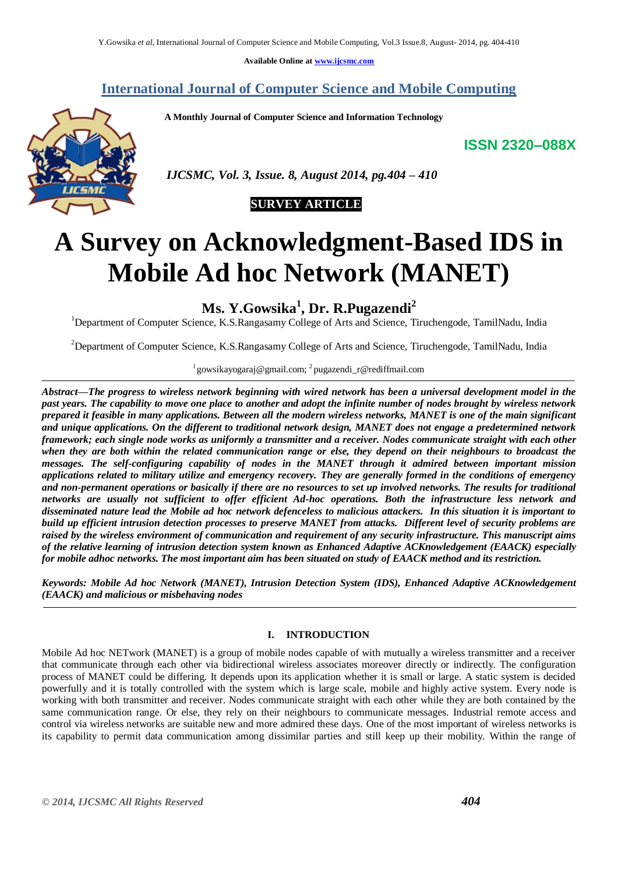**Available Online at [www.ijcsmc.com](http://www.ijcsmc.com/)**

**International Journal of Computer Science and Mobile Computing**

 **A Monthly Journal of Computer Science and Information Technology**

**ISSN 2320–088X**



 *IJCSMC, Vol. 3, Issue. 8, August 2014, pg.404 – 410*

# **SURVEY ARTICLE**

# **A Survey on Acknowledgment-Based IDS in Mobile Ad hoc Network (MANET)**

**Ms. Y.Gowsika<sup>1</sup> , Dr. R.Pugazendi<sup>2</sup>**

<sup>1</sup>Department of Computer Science, K.S.Rangasamy College of Arts and Science, Tiruchengode, TamilNadu, India

<sup>2</sup>Department of Computer Science, K.S.Rangasamy College of Arts and Science, Tiruchengode, TamilNadu, India

# <sup>l</sup> gowsikayogaraj@gmail.com; <sup>2</sup> pugazendi\_r@rediffmail.com

*Abstract—The progress to wireless network beginning with wired network has been a universal development model in the past years. The capability to move one place to another and adopt the infinite number of nodes brought by wireless network prepared it feasible in many applications. Between all the modern wireless networks, MANET is one of the main significant and unique applications. On the different to traditional network design, MANET does not engage a predetermined network framework; each single node works as uniformly a transmitter and a receiver. Nodes communicate straight with each other when they are both within the related communication range or else, they depend on their neighbours to broadcast the messages. The self-configuring capability of nodes in the MANET through it admired between important mission applications related to military utilize and emergency recovery. They are generally formed in the conditions of emergency and non-permanent operations or basically if there are no resources to set up involved networks. The results for traditional networks are usually not sufficient to offer efficient Ad-hoc operations. Both the infrastructure less network and disseminated nature lead the Mobile ad hoc network defenceless to malicious attackers. In this situation it is important to build up efficient intrusion detection processes to preserve MANET from attacks. Different level of security problems are raised by the wireless environment of communication and requirement of any security infrastructure. This manuscript aims of the relative learning of intrusion detection system known as Enhanced Adaptive ACKnowledgement (EAACK) especially for mobile adhoc networks. The most important aim has been situated on study of EAACK method and its restriction.*

*Keywords: Mobile Ad hoc Network (MANET), Intrusion Detection System (IDS), Enhanced Adaptive ACKnowledgement (EAACK) and malicious or misbehaving nodes*

# **I. INTRODUCTION**

Mobile Ad hoc NETwork (MANET) is a group of mobile nodes capable of with mutually a wireless transmitter and a receiver that communicate through each other via bidirectional wireless associates moreover directly or indirectly. The configuration process of MANET could be differing. It depends upon its application whether it is small or large. A static system is decided powerfully and it is totally controlled with the system which is large scale, mobile and highly active system. Every node is working with both transmitter and receiver. Nodes communicate straight with each other while they are both contained by the same communication range. Or else, they rely on their neighbours to communicate messages. Industrial remote access and control via wireless networks are suitable new and more admired these days. One of the most important of wireless networks is its capability to permit data communication among dissimilar parties and still keep up their mobility. Within the range of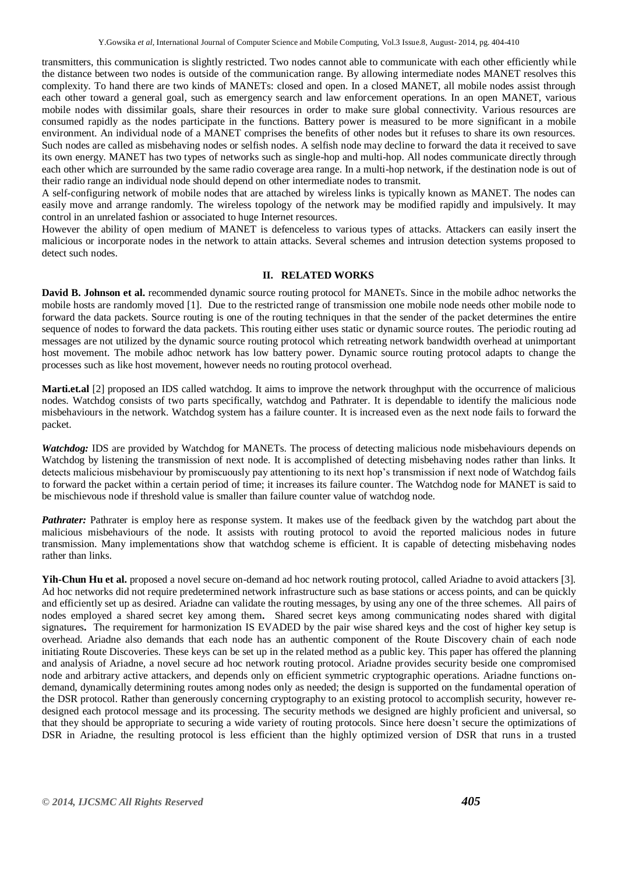transmitters, this communication is slightly restricted. Two nodes cannot able to communicate with each other efficiently while the distance between two nodes is outside of the communication range. By allowing intermediate nodes MANET resolves this complexity. To hand there are two kinds of MANETs: closed and open. In a closed MANET, all mobile nodes assist through each other toward a general goal, such as emergency search and law enforcement operations. In an open MANET, various mobile nodes with dissimilar goals, share their resources in order to make sure global connectivity. Various resources are consumed rapidly as the nodes participate in the functions. Battery power is measured to be more significant in a mobile environment. An individual node of a MANET comprises the benefits of other nodes but it refuses to share its own resources. Such nodes are called as misbehaving nodes or selfish nodes. A selfish node may decline to forward the data it received to save its own energy. MANET has two types of networks such as single-hop and multi-hop. All nodes communicate directly through each other which are surrounded by the same radio coverage area range. In a multi-hop network, if the destination node is out of their radio range an individual node should depend on other intermediate nodes to transmit.

A self-configuring network of mobile nodes that are attached by wireless links is typically known as MANET. The nodes can easily move and arrange randomly. The wireless topology of the network may be modified rapidly and impulsively. It may control in an unrelated fashion or associated to huge Internet resources.

However the ability of open medium of MANET is defenceless to various types of attacks. Attackers can easily insert the malicious or incorporate nodes in the network to attain attacks. Several schemes and intrusion detection systems proposed to detect such nodes.

#### **II. RELATED WORKS**

**David B. Johnson et al.** recommended dynamic source routing protocol for MANETs. Since in the mobile adhoc networks the mobile hosts are randomly moved [1]. Due to the restricted range of transmission one mobile node needs other mobile node to forward the data packets. Source routing is one of the routing techniques in that the sender of the packet determines the entire sequence of nodes to forward the data packets. This routing either uses static or dynamic source routes. The periodic routing ad messages are not utilized by the dynamic source routing protocol which retreating network bandwidth overhead at unimportant host movement. The mobile adhoc network has low battery power. Dynamic source routing protocol adapts to change the processes such as like host movement, however needs no routing protocol overhead.

**Marti.et.al** [2] proposed an IDS called watchdog. It aims to improve the network throughput with the occurrence of malicious nodes. Watchdog consists of two parts specifically, watchdog and Pathrater. It is dependable to identify the malicious node misbehaviours in the network. Watchdog system has a failure counter. It is increased even as the next node fails to forward the packet.

*Watchdog:* IDS are provided by Watchdog for MANETs. The process of detecting malicious node misbehaviours depends on Watchdog by listening the transmission of next node. It is accomplished of detecting misbehaving nodes rather than links. It detects malicious misbehaviour by promiscuously pay attentioning to its next hop's transmission if next node of Watchdog fails to forward the packet within a certain period of time; it increases its failure counter. The Watchdog node for MANET is said to be mischievous node if threshold value is smaller than failure counter value of watchdog node.

*Pathrater:* Pathrater is employ here as response system. It makes use of the feedback given by the watchdog part about the malicious misbehaviours of the node. It assists with routing protocol to avoid the reported malicious nodes in future transmission. Many implementations show that watchdog scheme is efficient. It is capable of detecting misbehaving nodes rather than links.

**Yih-Chun Hu et al.** proposed a novel secure on-demand ad hoc network routing protocol, called Ariadne to avoid attackers [3]. Ad hoc networks did not require predetermined network infrastructure such as base stations or access points, and can be quickly and efficiently set up as desired. Ariadne can validate the routing messages, by using any one of the three schemes. All pairs of nodes employed a shared secret key among them**.** Shared secret keys among communicating nodes shared with digital signatures**.** The requirement for harmonization IS EVADED by the pair wise shared keys and the cost of higher key setup is overhead. Ariadne also demands that each node has an authentic component of the Route Discovery chain of each node initiating Route Discoveries. These keys can be set up in the related method as a public key. This paper has offered the planning and analysis of Ariadne, a novel secure ad hoc network routing protocol. Ariadne provides security beside one compromised node and arbitrary active attackers, and depends only on efficient symmetric cryptographic operations. Ariadne functions ondemand, dynamically determining routes among nodes only as needed; the design is supported on the fundamental operation of the DSR protocol. Rather than generously concerning cryptography to an existing protocol to accomplish security, however redesigned each protocol message and its processing. The security methods we designed are highly proficient and universal, so that they should be appropriate to securing a wide variety of routing protocols. Since here doesn't secure the optimizations of DSR in Ariadne, the resulting protocol is less efficient than the highly optimized version of DSR that runs in a trusted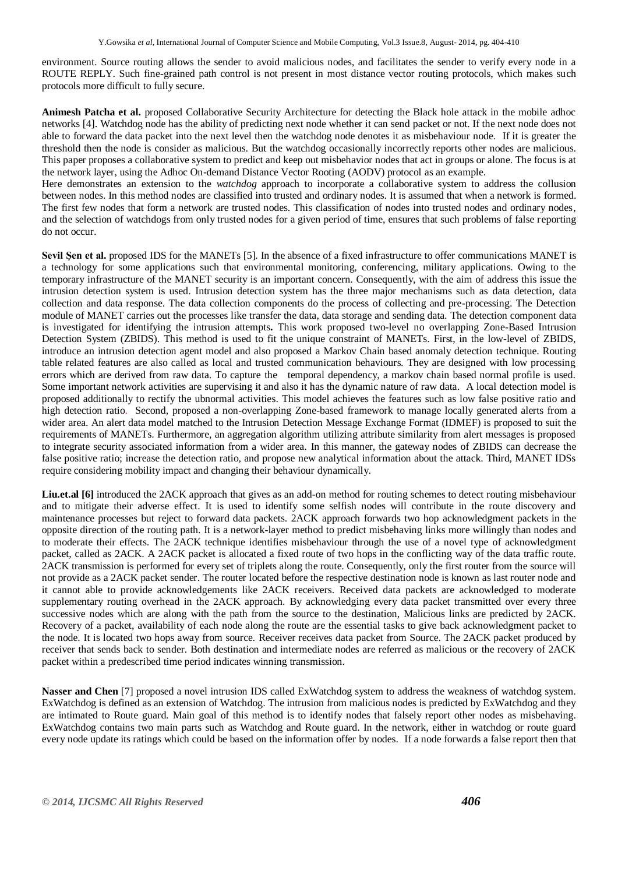environment. Source routing allows the sender to avoid malicious nodes, and facilitates the sender to verify every node in a ROUTE REPLY. Such fine-grained path control is not present in most distance vector routing protocols, which makes such protocols more difficult to fully secure.

**Animesh Patcha et al.** proposed Collaborative Security Architecture for detecting the Black hole attack in the mobile adhoc networks [4]. Watchdog node has the ability of predicting next node whether it can send packet or not. If the next node does not able to forward the data packet into the next level then the watchdog node denotes it as misbehaviour node. If it is greater the threshold then the node is consider as malicious. But the watchdog occasionally incorrectly reports other nodes are malicious. This paper proposes a collaborative system to predict and keep out misbehavior nodes that act in groups or alone. The focus is at the network layer, using the Adhoc On-demand Distance Vector Rooting (AODV) protocol as an example.

Here demonstrates an extension to the *watchdog* approach to incorporate a collaborative system to address the collusion between nodes. In this method nodes are classified into trusted and ordinary nodes. It is assumed that when a network is formed. The first few nodes that form a network are trusted nodes. This classification of nodes into trusted nodes and ordinary nodes, and the selection of watchdogs from only trusted nodes for a given period of time, ensures that such problems of false reporting do not occur.

Sevil Şen et al. proposed IDS for the MANETs [5]. In the absence of a fixed infrastructure to offer communications MANET is a technology for some applications such that environmental monitoring, conferencing, military applications. Owing to the temporary infrastructure of the MANET security is an important concern. Consequently, with the aim of address this issue the intrusion detection system is used. Intrusion detection system has the three major mechanisms such as data detection, data collection and data response. The data collection components do the process of collecting and pre-processing. The Detection module of MANET carries out the processes like transfer the data, data storage and sending data. The detection component data is investigated for identifying the intrusion attempts**.** This work proposed two-level no overlapping Zone-Based Intrusion Detection System (ZBIDS). This method is used to fit the unique constraint of MANETs. First, in the low-level of ZBIDS, introduce an intrusion detection agent model and also proposed a Markov Chain based anomaly detection technique. Routing table related features are also called as local and trusted communication behaviours. They are designed with low processing errors which are derived from raw data. To capture the temporal dependency, a markov chain based normal profile is used. Some important network activities are supervising it and also it has the dynamic nature of raw data. A local detection model is proposed additionally to rectify the ubnormal activities. This model achieves the features such as low false positive ratio and high detection ratio. Second, proposed a non-overlapping Zone-based framework to manage locally generated alerts from a wider area. An alert data model matched to the Intrusion Detection Message Exchange Format (IDMEF) is proposed to suit the requirements of MANETs. Furthermore, an aggregation algorithm utilizing attribute similarity from alert messages is proposed to integrate security associated information from a wider area. In this manner, the gateway nodes of ZBIDS can decrease the false positive ratio; increase the detection ratio, and propose new analytical information about the attack. Third, MANET IDSs require considering mobility impact and changing their behaviour dynamically.

**Liu.et.al [6]** introduced the 2ACK approach that gives as an add-on method for routing schemes to detect routing misbehaviour and to mitigate their adverse effect. It is used to identify some selfish nodes will contribute in the route discovery and maintenance processes but reject to forward data packets. 2ACK approach forwards two hop acknowledgment packets in the opposite direction of the routing path. It is a network-layer method to predict misbehaving links more willingly than nodes and to moderate their effects. The 2ACK technique identifies misbehaviour through the use of a novel type of acknowledgment packet, called as 2ACK. A 2ACK packet is allocated a fixed route of two hops in the conflicting way of the data traffic route. 2ACK transmission is performed for every set of triplets along the route. Consequently, only the first router from the source will not provide as a 2ACK packet sender. The router located before the respective destination node is known as last router node and it cannot able to provide acknowledgements like 2ACK receivers. Received data packets are acknowledged to moderate supplementary routing overhead in the 2ACK approach. By acknowledging every data packet transmitted over every three successive nodes which are along with the path from the source to the destination, Malicious links are predicted by 2ACK. Recovery of a packet, availability of each node along the route are the essential tasks to give back acknowledgment packet to the node. It is located two hops away from source. Receiver receives data packet from Source. The 2ACK packet produced by receiver that sends back to sender. Both destination and intermediate nodes are referred as malicious or the recovery of 2ACK packet within a predescribed time period indicates winning transmission.

**Nasser and Chen** [7] proposed a novel intrusion IDS called ExWatchdog system to address the weakness of watchdog system. ExWatchdog is defined as an extension of Watchdog. The intrusion from malicious nodes is predicted by ExWatchdog and they are intimated to Route guard. Main goal of this method is to identify nodes that falsely report other nodes as misbehaving. ExWatchdog contains two main parts such as Watchdog and Route guard. In the network, either in watchdog or route guard every node update its ratings which could be based on the information offer by nodes.If a node forwards a false report then that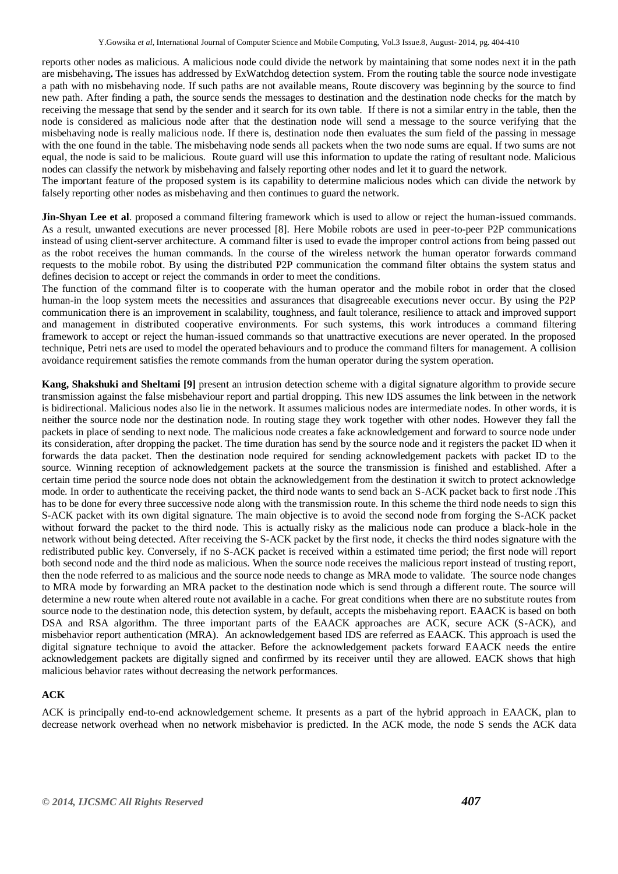reports other nodes as malicious. A malicious node could divide the network by maintaining that some nodes next it in the path are misbehaving**.** The issues has addressed by ExWatchdog detection system. From the routing table the source node investigate a path with no misbehaving node. If such paths are not available means, Route discovery was beginning by the source to find new path. After finding a path, the source sends the messages to destination and the destination node checks for the match by receiving the message that send by the sender and it search for its own table. If there is not a similar entry in the table, then the node is considered as malicious node after that the destination node will send a message to the source verifying that the misbehaving node is really malicious node. If there is, destination node then evaluates the sum field of the passing in message with the one found in the table. The misbehaving node sends all packets when the two node sums are equal. If two sums are not equal, the node is said to be malicious. Route guard will use this information to update the rating of resultant node. Malicious nodes can classify the network by misbehaving and falsely reporting other nodes and let it to guard the network.

The important feature of the proposed system is its capability to determine malicious nodes which can divide the network by falsely reporting other nodes as misbehaving and then continues to guard the network.

**Jin-Shyan Lee et al**. proposed a command filtering framework which is used to allow or reject the human-issued commands. As a result, unwanted executions are never processed [8]. Here Mobile robots are used in peer-to-peer P2P communications instead of using client-server architecture. A command filter is used to evade the improper control actions from being passed out as the robot receives the human commands. In the course of the wireless network the human operator forwards command requests to the mobile robot. By using the distributed P2P communication the command filter obtains the system status and defines decision to accept or reject the commands in order to meet the conditions.

The function of the command filter is to cooperate with the human operator and the mobile robot in order that the closed human-in the loop system meets the necessities and assurances that disagreeable executions never occur. By using the P2P communication there is an improvement in scalability, toughness, and fault tolerance, resilience to attack and improved support and management in distributed cooperative environments. For such systems, this work introduces a command filtering framework to accept or reject the human-issued commands so that unattractive executions are never operated. In the proposed technique, Petri nets are used to model the operated behaviours and to produce the command filters for management. A collision avoidance requirement satisfies the remote commands from the human operator during the system operation.

**Kang, Shakshuki and Sheltami [9]** present an intrusion detection scheme with a digital signature algorithm to provide secure transmission against the false misbehaviour report and partial dropping. This new IDS assumes the link between in the network is bidirectional. Malicious nodes also lie in the network. It assumes malicious nodes are intermediate nodes. In other words, it is neither the source node nor the destination node. In routing stage they work together with other nodes. However they fall the packets in place of sending to next node. The malicious node creates a fake acknowledgement and forward to source node under its consideration, after dropping the packet. The time duration has send by the source node and it registers the packet ID when it forwards the data packet. Then the destination node required for sending acknowledgement packets with packet ID to the source. Winning reception of acknowledgement packets at the source the transmission is finished and established. After a certain time period the source node does not obtain the acknowledgement from the destination it switch to protect acknowledge mode. In order to authenticate the receiving packet, the third node wants to send back an S-ACK packet back to first node .This has to be done for every three successive node along with the transmission route. In this scheme the third node needs to sign this S-ACK packet with its own digital signature. The main objective is to avoid the second node from forging the S-ACK packet without forward the packet to the third node. This is actually risky as the malicious node can produce a black-hole in the network without being detected. After receiving the S-ACK packet by the first node, it checks the third nodes signature with the redistributed public key. Conversely, if no S-ACK packet is received within a estimated time period; the first node will report both second node and the third node as malicious. When the source node receives the malicious report instead of trusting report, then the node referred to as malicious and the source node needs to change as MRA mode to validate. The source node changes to MRA mode by forwarding an MRA packet to the destination node which is send through a different route. The source will determine a new route when altered route not available in a cache. For great conditions when there are no substitute routes from source node to the destination node, this detection system, by default, accepts the misbehaving report. EAACK is based on both DSA and RSA algorithm. The three important parts of the EAACK approaches are ACK, secure ACK (S-ACK), and misbehavior report authentication (MRA). An acknowledgement based IDS are referred as EAACK. This approach is used the digital signature technique to avoid the attacker. Before the acknowledgement packets forward EAACK needs the entire acknowledgement packets are digitally signed and confirmed by its receiver until they are allowed. EACK shows that high malicious behavior rates without decreasing the network performances.

### **ACK**

ACK is principally end-to-end acknowledgement scheme. It presents as a part of the hybrid approach in EAACK, plan to decrease network overhead when no network misbehavior is predicted. In the ACK mode, the node S sends the ACK data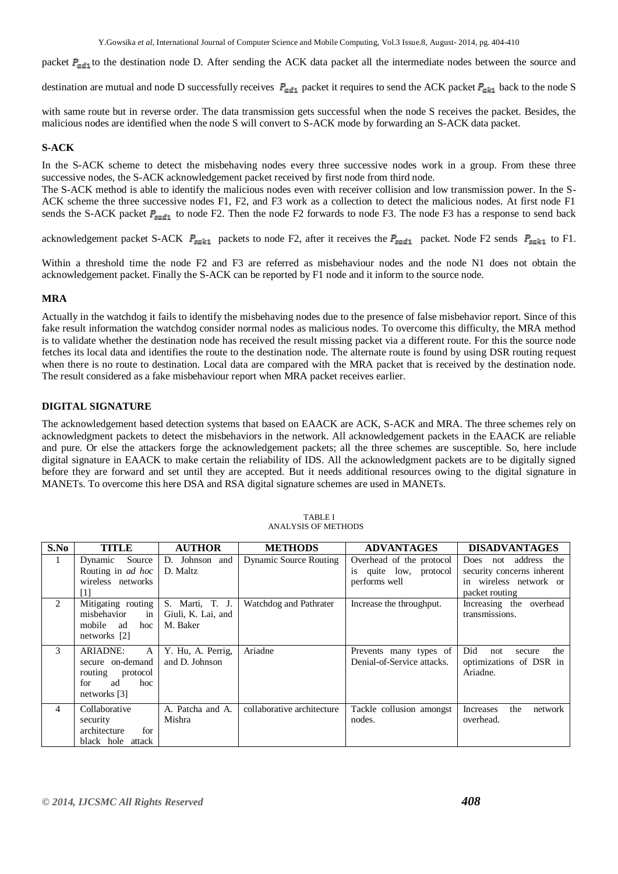Y.Gowsika *et al*, International Journal of Computer Science and Mobile Computing, Vol.3 Issue.8, August- 2014, pg. 404-410

packet  $P_{\text{add}}$  to the destination node D. After sending the ACK data packet all the intermediate nodes between the source and

destination are mutual and node D successfully receives  $P_{\text{add}}$  packet it requires to send the ACK packet  $P_{\text{akt}}$  back to the node S

with same route but in reverse order. The data transmission gets successful when the node S receives the packet. Besides, the malicious nodes are identified when the node S will convert to S-ACK mode by forwarding an S-ACK data packet.

# **S-ACK**

In the S-ACK scheme to detect the misbehaving nodes every three successive nodes work in a group. From these three successive nodes, the S-ACK acknowledgement packet received by first node from third node.

The S-ACK method is able to identify the malicious nodes even with receiver collision and low transmission power. In the S-ACK scheme the three successive nodes F1, F2, and F3 work as a collection to detect the malicious nodes. At first node F1 sends the S-ACK packet  $P_{sadd}$  to node F2. Then the node F2 forwards to node F3. The node F3 has a response to send back

acknowledgement packet S-ACK  $P_{sark1}$  packets to node F2, after it receives the  $P_{sadd1}$  packet. Node F2 sends  $P_{sark1}$  to F1.

Within a threshold time the node F2 and F3 are referred as misbehaviour nodes and the node N1 does not obtain the acknowledgement packet. Finally the S-ACK can be reported by F1 node and it inform to the source node.

### **MRA**

Actually in the watchdog it fails to identify the misbehaving nodes due to the presence of false misbehavior report. Since of this fake result information the watchdog consider normal nodes as malicious nodes. To overcome this difficulty, the MRA method is to validate whether the destination node has received the result missing packet via a different route. For this the source node fetches its local data and identifies the route to the destination node. The alternate route is found by using DSR routing request when there is no route to destination. Local data are compared with the MRA packet that is received by the destination node. The result considered as a fake misbehaviour report when MRA packet receives earlier.

# **DIGITAL SIGNATURE**

The acknowledgement based detection systems that based on EAACK are ACK, S-ACK and MRA. The three schemes rely on acknowledgment packets to detect the misbehaviors in the network. All acknowledgement packets in the EAACK are reliable and pure. Or else the attackers forge the acknowledgement packets; all the three schemes are susceptible. So, here include digital signature in EAACK to make certain the reliability of IDS. All the acknowledgment packets are to be digitally signed before they are forward and set until they are accepted. But it needs additional resources owing to the digital signature in MANETs. To overcome this here DSA and RSA digital signature schemes are used in MANETs.

| S.No | <b>TITLE</b>             | <b>AUTHOR</b>      | <b>METHODS</b>                | <b>ADVANTAGES</b>          | <b>DISADVANTAGES</b>                 |
|------|--------------------------|--------------------|-------------------------------|----------------------------|--------------------------------------|
|      | Dynamic<br>Source        | D. Johnson and     | <b>Dynamic Source Routing</b> | Overhead of the protocol   | address<br>the<br><b>Does</b><br>not |
|      | Routing in <i>ad hoc</i> | D. Maltz           |                               | is quite low, protocol     | security concerns inherent           |
|      | wireless networks        |                    |                               | performs well              | in wireless network or               |
|      | $\lceil 1 \rceil$        |                    |                               |                            | packet routing                       |
| 2    | Mitigating routing       | S. Marti, T. J.    | Watchdog and Pathrater        | Increase the throughput.   | Increasing the overhead              |
|      | misbehavior<br>in        | Giuli, K. Lai, and |                               |                            | transmissions.                       |
|      | hoc<br>mobile<br>ad      | M. Baker           |                               |                            |                                      |
|      | networks $[2]$           |                    |                               |                            |                                      |
| 3    | <b>ARIADNE:</b><br>A     | Y. Hu, A. Perrig.  | Ariadne                       | Prevents many types of     | Did<br>the<br>not<br>secure          |
|      | secure on-demand         | and D. Johnson     |                               | Denial-of-Service attacks. | optimizations of DSR in              |
|      | routing<br>protocol      |                    |                               |                            | Ariadne.                             |
|      | for<br>ad<br>hoc         |                    |                               |                            |                                      |
|      | networks [3]             |                    |                               |                            |                                      |
| 4    | Collaborative            | A. Patcha and A.   | collaborative architecture    | Tackle collusion amongst   | the<br><b>Increases</b><br>network   |
|      | security                 | Mishra             |                               | nodes.                     | overhead.                            |
|      | architecture<br>for      |                    |                               |                            |                                      |
|      | black hole attack        |                    |                               |                            |                                      |

TABLE I ANALYSIS OF METHODS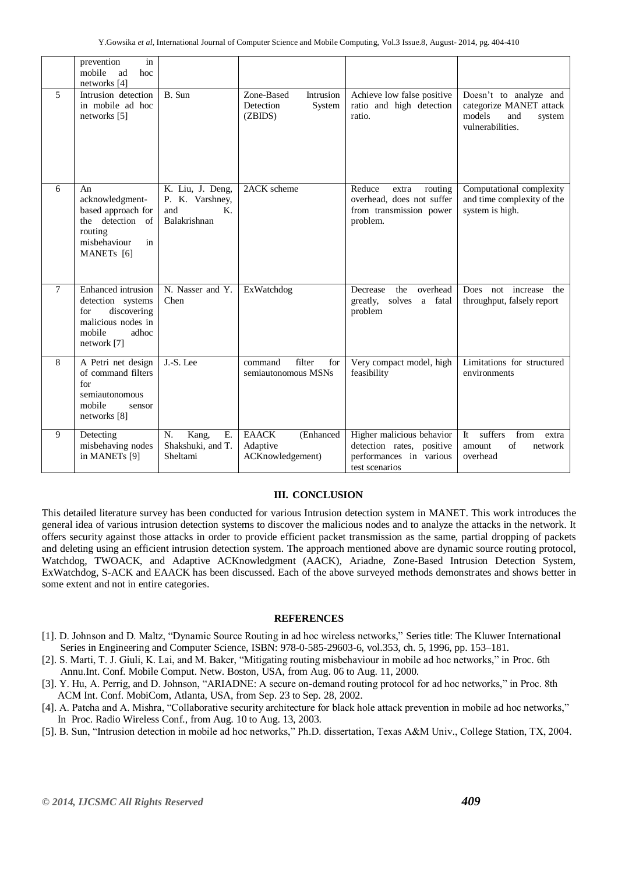|                | in<br>prevention<br>mobile<br>ad<br>hoc<br>networks [4]                                                                       |                                                                           |                                                           |                                                                                                     |                                                                                                  |
|----------------|-------------------------------------------------------------------------------------------------------------------------------|---------------------------------------------------------------------------|-----------------------------------------------------------|-----------------------------------------------------------------------------------------------------|--------------------------------------------------------------------------------------------------|
| 5              | Intrusion detection<br>in mobile ad hoc<br>networks [5]                                                                       | B. Sun                                                                    | Zone-Based<br>Intrusion<br>Detection<br>System<br>(ZBIDS) | Achieve low false positive<br>ratio and high detection<br>ratio.                                    | Doesn't to analyze and<br>categorize MANET attack<br>models<br>and<br>system<br>vulnerabilities. |
| 6              | An<br>acknowledgment-<br>based approach for<br>the detection<br>of<br>routing<br>misbehaviour<br>in<br>MANET <sub>s</sub> [6] | K. Liu, J. Deng,<br>P. K. Varshney,<br>and<br>$K_{\cdot}$<br>Balakrishnan | 2ACK scheme                                               | Reduce<br>routing<br>extra<br>overhead, does not suffer<br>from transmission power<br>problem.      | Computational complexity<br>and time complexity of the<br>system is high.                        |
| $\overline{7}$ | Enhanced intrusion<br>detection systems<br>discovering<br>for<br>malicious nodes in<br>mobile<br>adhoc<br>network [7]         | N. Nasser and Y.<br>Chen                                                  | ExWatchdog                                                | overhead<br>Decrease<br>the<br>greatly, solves a fatal<br>problem                                   | Does<br>increase<br>not<br>the<br>throughput, falsely report                                     |
| 8              | A Petri net design<br>of command filters<br>for<br>semiautonomous<br>mobile<br>sensor<br>networks [8]                         | J.-S. Lee                                                                 | filter<br>command<br>for<br>semiautonomous MSNs           | Very compact model, high<br>feasibility                                                             | Limitations for structured<br>environments                                                       |
| 9              | Detecting<br>misbehaving nodes<br>in MANETs [9]                                                                               | E.<br>N.<br>Kang,<br>Shakshuki, and T.<br>Sheltami                        | <b>EAACK</b><br>(Enhanced<br>Adaptive<br>ACKnowledgement) | Higher malicious behavior<br>detection rates, positive<br>performances in various<br>test scenarios | suffers<br>It<br>from<br>extra<br>of<br>amount<br>network<br>overhead                            |

#### **III. CONCLUSION**

This detailed literature survey has been conducted for various Intrusion detection system in MANET. This work introduces the general idea of various intrusion detection systems to discover the malicious nodes and to analyze the attacks in the network. It offers security against those attacks in order to provide efficient packet transmission as the same, partial dropping of packets and deleting using an efficient intrusion detection system. The approach mentioned above are dynamic source routing protocol, Watchdog, TWOACK, and Adaptive ACKnowledgment (AACK), Ariadne, Zone-Based Intrusion Detection System, ExWatchdog, S-ACK and EAACK has been discussed. Each of the above surveyed methods demonstrates and shows better in some extent and not in entire categories.

### **REFERENCES**

- [1]. D. Johnson and D. Maltz, "Dynamic Source Routing in ad hoc wireless networks," Series title: The Kluwer [International](http://link.springer.com/bookseries/6524)  Series in [Engineering](http://link.springer.com/bookseries/6524) and Computer Science, ISBN: 978-0-585-29603-6, vol.353, ch. 5, 1996, pp. 153–181.
- [2]. S. Marti, T. J. Giuli, K. Lai, and M. Baker, "Mitigating routing misbehaviour in mobile ad hoc networks," in Proc. 6th Annu.Int. Conf. Mobile Comput. Netw. Boston, USA, from Aug. 06 to Aug. 11, 2000.
- [3]. Y. Hu, A. Perrig, and D. Johnson, "ARIADNE: A secure on-demand routing protocol for ad hoc networks," in Proc. 8th ACM Int. Conf. MobiCom, Atlanta, USA, from Sep. 23 to Sep. 28, 2002.
- [4]. A. Patcha and A. Mishra, "Collaborative security architecture for black hole attack prevention in mobile ad hoc networks," In Proc. Radio Wireless Conf*.*, from Aug. 10 to Aug. 13, 2003.
- [5]. B. Sun, "Intrusion detection in mobile ad hoc networks," Ph.D. dissertation, Texas A&M Univ., College Station, TX, 2004.